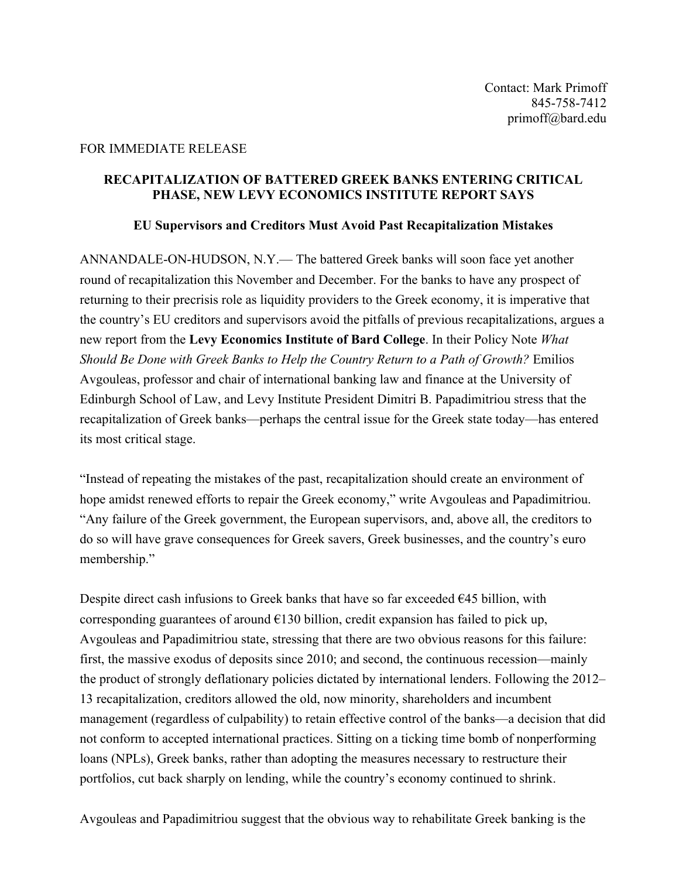## FOR IMMEDIATE RELEASE

## **RECAPITALIZATION OF BATTERED GREEK BANKS ENTERING CRITICAL PHASE, NEW LEVY ECONOMICS INSTITUTE REPORT SAYS**

## **EU Supervisors and Creditors Must Avoid Past Recapitalization Mistakes**

ANNANDALE-ON-HUDSON, N.Y.— The battered Greek banks will soon face yet another round of recapitalization this November and December. For the banks to have any prospect of returning to their precrisis role as liquidity providers to the Greek economy, it is imperative that the country's EU creditors and supervisors avoid the pitfalls of previous recapitalizations, argues a new report from the **Levy Economics Institute of Bard College**. In their Policy Note *What Should Be Done with Greek Banks to Help the Country Return to a Path of Growth?* Emilios Avgouleas, professor and chair of international banking law and finance at the University of Edinburgh School of Law, and Levy Institute President Dimitri B. Papadimitriou stress that the recapitalization of Greek banks—perhaps the central issue for the Greek state today—has entered its most critical stage.

"Instead of repeating the mistakes of the past, recapitalization should create an environment of hope amidst renewed efforts to repair the Greek economy," write Avgouleas and Papadimitriou. "Any failure of the Greek government, the European supervisors, and, above all, the creditors to do so will have grave consequences for Greek savers, Greek businesses, and the country's euro membership."

Despite direct cash infusions to Greek banks that have so far exceeded  $E45$  billion, with corresponding guarantees of around  $E130$  billion, credit expansion has failed to pick up, Avgouleas and Papadimitriou state, stressing that there are two obvious reasons for this failure: first, the massive exodus of deposits since 2010; and second, the continuous recession—mainly the product of strongly deflationary policies dictated by international lenders. Following the 2012– 13 recapitalization, creditors allowed the old, now minority, shareholders and incumbent management (regardless of culpability) to retain effective control of the banks—a decision that did not conform to accepted international practices. Sitting on a ticking time bomb of nonperforming loans (NPLs), Greek banks, rather than adopting the measures necessary to restructure their portfolios, cut back sharply on lending, while the country's economy continued to shrink.

Avgouleas and Papadimitriou suggest that the obvious way to rehabilitate Greek banking is the